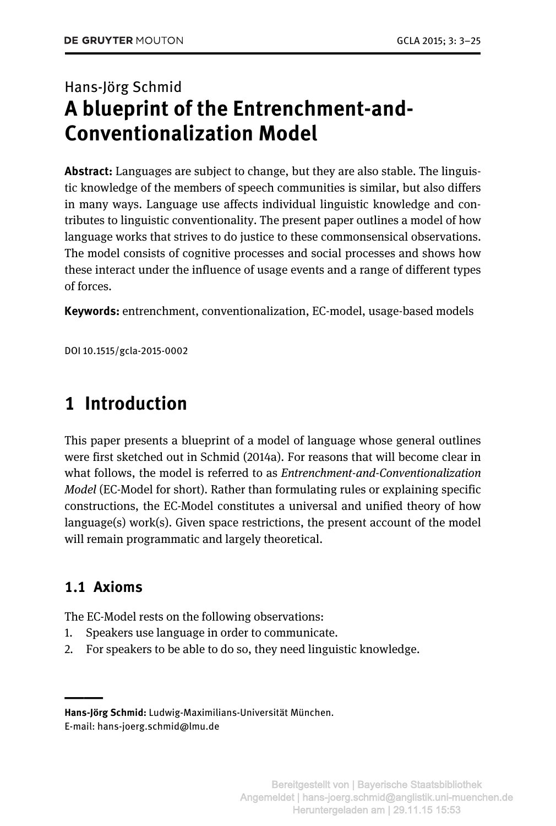## Hans-Jörg Schmid **A blueprint of the Entrenchment-and-Conventionalization Model**

**Abstract:** Languages are subject to change, but they are also stable. The linguistic knowledge of the members of speech communities is similar, but also differs in many ways. Language use affects individual linguistic knowledge and contributes to linguistic conventionality. The present paper outlines a model of how language works that strives to do justice to these commonsensical observations. The model consists of cognitive processes and social processes and shows how these interact under the influence of usage events and a range of different types of forces.

**Keywords:** entrenchment, conventionalization, EC-model, usage-based models

DOI 10.1515/gcla-2015-0002

## **1 Introduction**

This paper presents a blueprint of a model of language whose general outlines were first sketched out in Schmid (2014a). For reasons that will become clear in what follows, the model is referred to as *Entrenchment-and-Conventionalization Model* (EC-Model for short). Rather than formulating rules or explaining specific constructions, the EC-Model constitutes a universal and unified theory of how  $language(s)$  work $(s)$ . Given space restrictions, the present account of the model will remain programmatic and largely theoretical.

#### **1.1 Axioms**

The EC-Model rests on the following observations:

- 1. Speakers use language in order to communicate.
- 2. For speakers to be able to do so, they need linguistic knowledge.

**<sup>||</sup>Hans-Jörg Schmid:** Ludwig-Maximilians-Universität München. E-mail: hans-joerg.schmid@lmu.de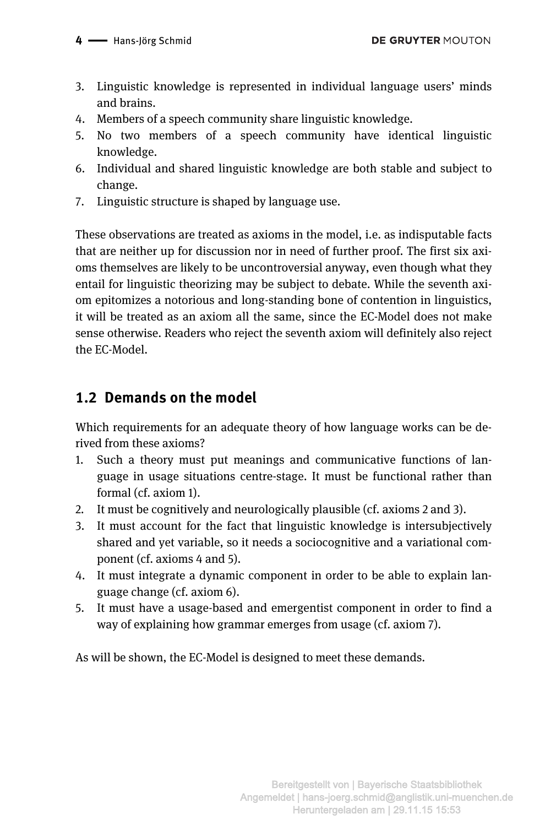- 3. Linguistic knowledge is represented in individual language users' minds and brains.
- 4. Members of a speech community share linguistic knowledge.
- 5. No two members of a speech community have identical linguistic knowledge.
- 6. Individual and shared linguistic knowledge are both stable and subject to change.
- 7. Linguistic structure is shaped by language use.

These observations are treated as axioms in the model, i.e. as indisputable facts that are neither up for discussion nor in need of further proof. The first six axioms themselves are likely to be uncontroversial anyway, even though what they entail for linguistic theorizing may be subject to debate. While the seventh axiom epitomizes a notorious and long-standing bone of contention in linguistics, it will be treated as an axiom all the same, since the EC-Model does not make sense otherwise. Readers who reject the seventh axiom will definitely also reject the EC-Model.

### **1.2 Demands on the model**

Which requirements for an adequate theory of how language works can be derived from these axioms?

- 1. Such a theory must put meanings and communicative functions of language in usage situations centre-stage. It must be functional rather than formal (cf. axiom 1).
- 2. It must be cognitively and neurologically plausible (cf. axioms 2 and 3).
- 3. It must account for the fact that linguistic knowledge is intersubjectively shared and yet variable, so it needs a sociocognitive and a variational component (cf. axioms 4 and 5).
- 4. It must integrate a dynamic component in order to be able to explain language change (cf. axiom 6).
- 5. It must have a usage-based and emergentist component in order to find a way of explaining how grammar emerges from usage (cf. axiom 7).

As will be shown, the EC-Model is designed to meet these demands.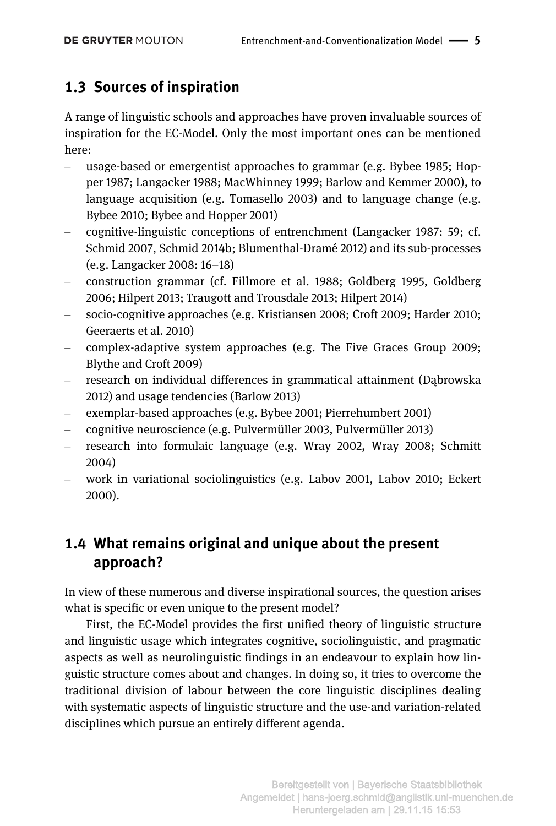### **1.3 Sources of inspiration**

A range of linguistic schools and approaches have proven invaluable sources of inspiration for the EC-Model. Only the most important ones can be mentioned here:

- usage-based or emergentist approaches to grammar (e.g. Bybee 1985; Hopper 1987; Langacker 1988; MacWhinney 1999; Barlow and Kemmer 2000), to language acquisition (e.g. Tomasello 2003) and to language change (e.g. Bybee 2010; Bybee and Hopper 2001)
- cognitive-linguistic conceptions of entrenchment (Langacker 1987: 59; cf. Schmid 2007, Schmid 2014b; Blumenthal-Dramé 2012) and its sub-processes (e.g. Langacker 2008: 16–18)
- construction grammar (cf. Fillmore et al. 1988; Goldberg 1995, Goldberg 2006; Hilpert 2013; Traugott and Trousdale 2013; Hilpert 2014)
- socio-cognitive approaches (e.g. Kristiansen 2008; Croft 2009; Harder 2010; Geeraerts et al. 2010)
- complex-adaptive system approaches (e.g. The Five Graces Group 2009; Blythe and Croft 2009)
- research on individual differences in grammatical attainment (Dąbrowska 2012) and usage tendencies (Barlow 2013)
- exemplar-based approaches (e.g. Bybee 2001; Pierrehumbert 2001)
- cognitive neuroscience (e.g. Pulvermüller 2003, Pulvermüller 2013)
- research into formulaic language (e.g. Wray 2002, Wray 2008; Schmitt 2004)
- work in variational sociolinguistics (e.g. Labov 2001, Labov 2010; Eckert 2000).

### **1.4 What remains original and unique about the present approach?**

In view of these numerous and diverse inspirational sources, the question arises what is specific or even unique to the present model?

First, the EC-Model provides the first unified theory of linguistic structure and linguistic usage which integrates cognitive, sociolinguistic, and pragmatic aspects as well as neurolinguistic findings in an endeavour to explain how linguistic structure comes about and changes. In doing so, it tries to overcome the traditional division of labour between the core linguistic disciplines dealing with systematic aspects of linguistic structure and the use-and variation-related disciplines which pursue an entirely different agenda.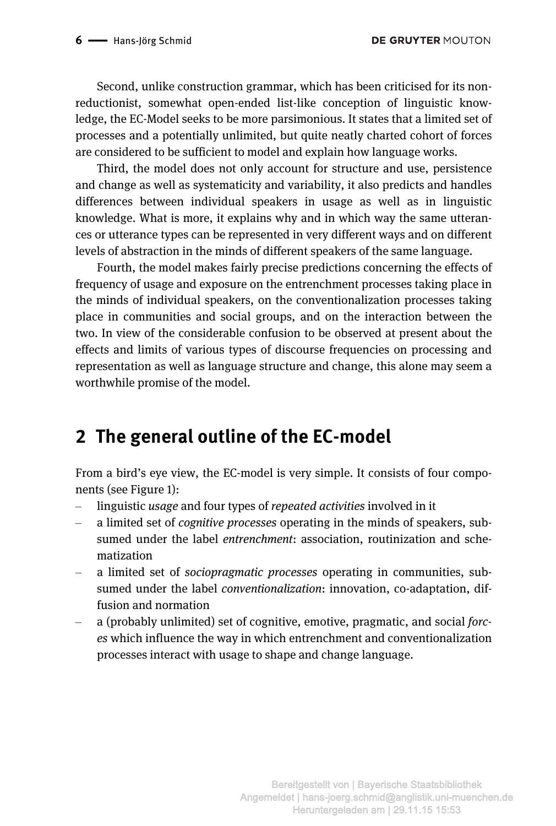Second, unlike construction grammar, which has been criticised for its nonreductionist, somewhat open-ended list-like conception of linguistic knowledge, the EC-Model seeks to be more parsimonious. It states that a limited set of processes and a potentially unlimited, but quite neatly charted cohort of forces are considered to be sufficient to model and explain how language works.

Third, the model does not only account for structure and use, persistence and change as well as systematicity and variability, it also predicts and handles differences between individual speakers in usage as well as in linguistic knowledge. What is more, it explains why and in which way the same utterances or utterance types can be represented in very different ways and on different levels of abstraction in the minds of different speakers of the same language.

Fourth, the model makes fairly precise predictions concerning the effects of frequency of usage and exposure on the entrenchment processes taking place in the minds of individual speakers, on the conventionalization processes taking place in communities and social groups, and on the interaction between the two. In view of the considerable confusion to be observed at present about the effects and limits of various types of discourse frequencies on processing and representation as well as language structure and change, this alone may seem a worthwhile promise of the model.

## **2 The general outline of the EC-model**

From a bird's eye view, the EC-model is very simple. It consists of four components (see Figure 1):

- linguistic *usage* and four types of *repeated activities* involved in it
- a limited set of *cognitive processes* operating in the minds of speakers, subsumed under the label *entrenchment*: association, routinization and schematization
- a limited set of *sociopragmatic processes* operating in communities, subsumed under the label *conventionalization*: innovation, co-adaptation, diffusion and normation
- a (probably unlimited) set of cognitive, emotive, pragmatic, and social *forces* which influence the way in which entrenchment and conventionalization processes interact with usage to shape and change language.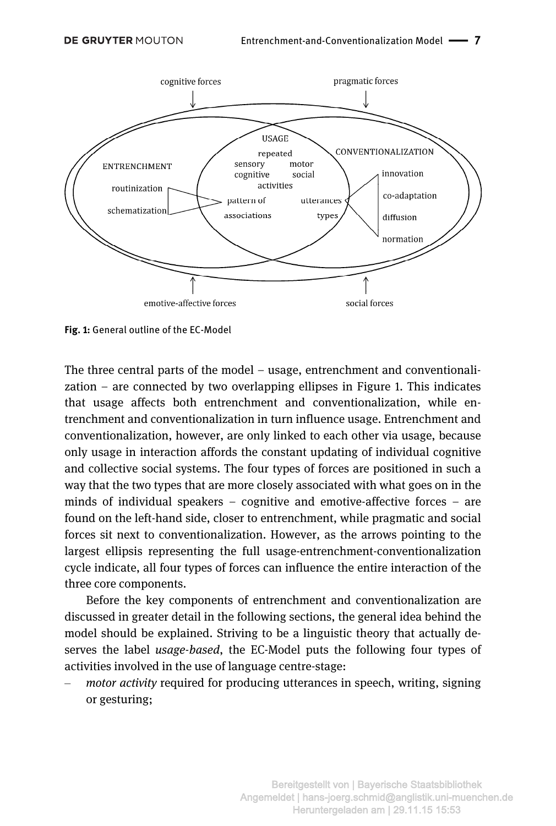

**Fig. 1:** General outline of the EC-Model

The three central parts of the model – usage, entrenchment and conventionalization – are connected by two overlapping ellipses in Figure 1. This indicates that usage affects both entrenchment and conventionalization, while entrenchment and conventionalization in turn influence usage. Entrenchment and conventionalization, however, are only linked to each other via usage, because only usage in interaction affords the constant updating of individual cognitive and collective social systems. The four types of forces are positioned in such a way that the two types that are more closely associated with what goes on in the minds of individual speakers – cognitive and emotive-affective forces – are found on the left-hand side, closer to entrenchment, while pragmatic and social forces sit next to conventionalization. However, as the arrows pointing to the largest ellipsis representing the full usage-entrenchment-conventionalization cycle indicate, all four types of forces can influence the entire interaction of the three core components.

Before the key components of entrenchment and conventionalization are discussed in greater detail in the following sections, the general idea behind the model should be explained. Striving to be a linguistic theory that actually deserves the label *usage-based*, the EC-Model puts the following four types of activities involved in the use of language centre-stage:

– *motor activity* required for producing utterances in speech, writing, signing or gesturing;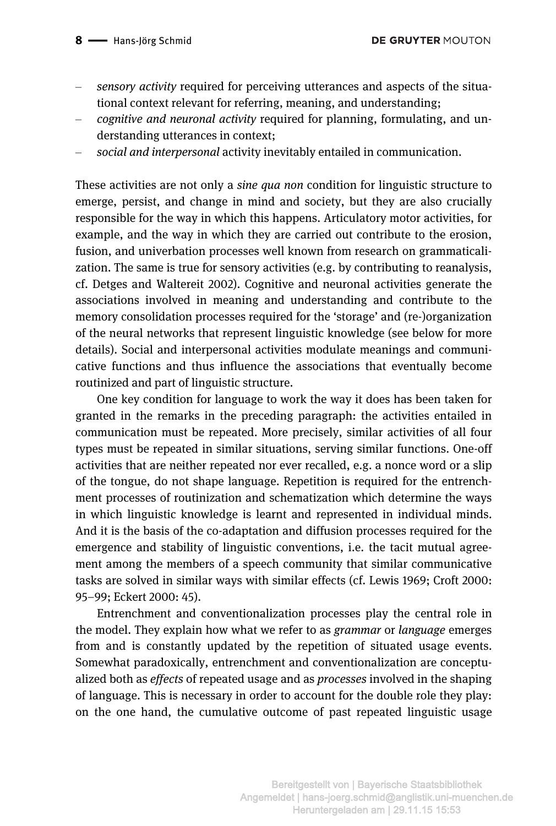#### 8 - Hans-lörg Schmid

- *sensory activity* required for perceiving utterances and aspects of the situational context relevant for referring, meaning, and understanding;
- *cognitive and neuronal activity* required for planning, formulating, and understanding utterances in context;
- *social and interpersonal* activity inevitably entailed in communication.

These activities are not only a *sine qua non* condition for linguistic structure to emerge, persist, and change in mind and society, but they are also crucially responsible for the way in which this happens. Articulatory motor activities, for example, and the way in which they are carried out contribute to the erosion, fusion, and univerbation processes well known from research on grammaticalization. The same is true for sensory activities (e.g. by contributing to reanalysis, cf. Detges and Waltereit 2002). Cognitive and neuronal activities generate the associations involved in meaning and understanding and contribute to the memory consolidation processes required for the 'storage' and (re-)organization of the neural networks that represent linguistic knowledge (see below for more details). Social and interpersonal activities modulate meanings and communicative functions and thus influence the associations that eventually become routinized and part of linguistic structure.

One key condition for language to work the way it does has been taken for granted in the remarks in the preceding paragraph: the activities entailed in communication must be repeated. More precisely, similar activities of all four types must be repeated in similar situations, serving similar functions. One-off activities that are neither repeated nor ever recalled, e.g. a nonce word or a slip of the tongue, do not shape language. Repetition is required for the entrenchment processes of routinization and schematization which determine the ways in which linguistic knowledge is learnt and represented in individual minds. And it is the basis of the co-adaptation and diffusion processes required for the emergence and stability of linguistic conventions, i.e. the tacit mutual agreement among the members of a speech community that similar communicative tasks are solved in similar ways with similar effects (cf. Lewis 1969; Croft 2000: 95–99; Eckert 2000: 45).

Entrenchment and conventionalization processes play the central role in the model. They explain how what we refer to as *grammar* or *language* emerges from and is constantly updated by the repetition of situated usage events. Somewhat paradoxically, entrenchment and conventionalization are conceptualized both as *effects* of repeated usage and as *processes* involved in the shaping of language. This is necessary in order to account for the double role they play: on the one hand, the cumulative outcome of past repeated linguistic usage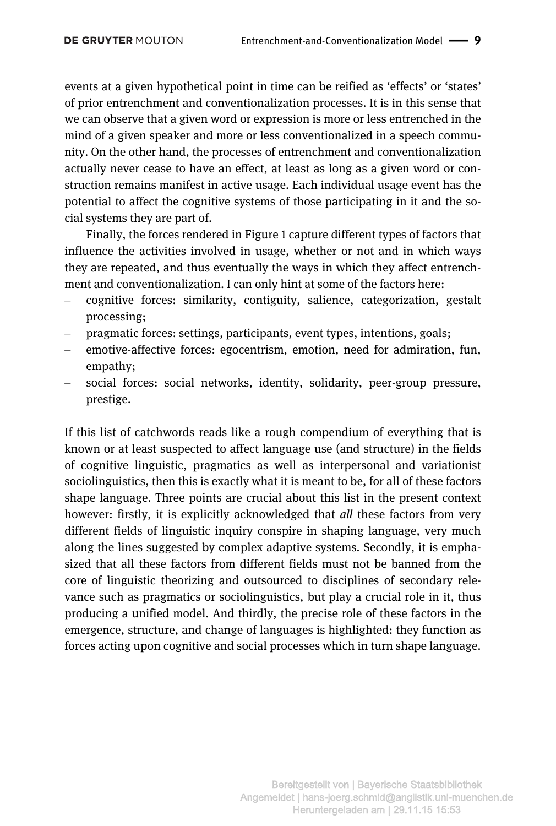events at a given hypothetical point in time can be reified as 'effects' or 'states' of prior entrenchment and conventionalization processes. It is in this sense that we can observe that a given word or expression is more or less entrenched in the mind of a given speaker and more or less conventionalized in a speech community. On the other hand, the processes of entrenchment and conventionalization actually never cease to have an effect, at least as long as a given word or construction remains manifest in active usage. Each individual usage event has the potential to affect the cognitive systems of those participating in it and the social systems they are part of.

Finally, the forces rendered in Figure 1 capture different types of factors that influence the activities involved in usage, whether or not and in which ways they are repeated, and thus eventually the ways in which they affect entrenchment and conventionalization. I can only hint at some of the factors here:

- cognitive forces: similarity, contiguity, salience, categorization, gestalt processing;
- pragmatic forces: settings, participants, event types, intentions, goals;
- emotive-affective forces: egocentrism, emotion, need for admiration, fun, empathy;
- social forces: social networks, identity, solidarity, peer-group pressure, prestige.

If this list of catchwords reads like a rough compendium of everything that is known or at least suspected to affect language use (and structure) in the fields of cognitive linguistic, pragmatics as well as interpersonal and variationist sociolinguistics, then this is exactly what it is meant to be, for all of these factors shape language. Three points are crucial about this list in the present context however: firstly, it is explicitly acknowledged that *all* these factors from very different fields of linguistic inquiry conspire in shaping language, very much along the lines suggested by complex adaptive systems. Secondly, it is emphasized that all these factors from different fields must not be banned from the core of linguistic theorizing and outsourced to disciplines of secondary relevance such as pragmatics or sociolinguistics, but play a crucial role in it, thus producing a unified model. And thirdly, the precise role of these factors in the emergence, structure, and change of languages is highlighted: they function as forces acting upon cognitive and social processes which in turn shape language.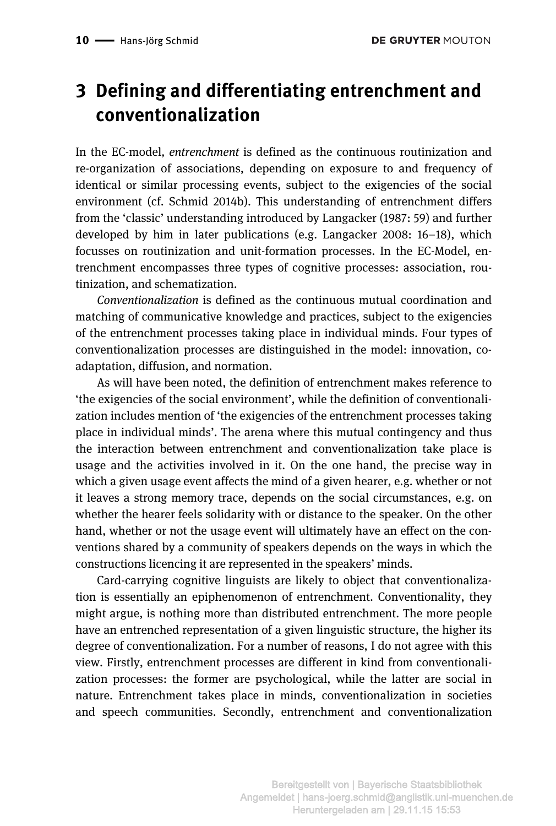# **3 Defining and differentiating entrenchment and conventionalization**

In the EC-model*, entrenchment* is defined as the continuous routinization and re-organization of associations, depending on exposure to and frequency of identical or similar processing events, subject to the exigencies of the social environment (cf. Schmid 2014b). This understanding of entrenchment differs from the 'classic' understanding introduced by Langacker (1987: 59) and further developed by him in later publications (e.g. Langacker 2008: 16–18), which focusses on routinization and unit-formation processes. In the EC-Model, entrenchment encompasses three types of cognitive processes: association, routinization, and schematization.

*Conventionalization* is defined as the continuous mutual coordination and matching of communicative knowledge and practices, subject to the exigencies of the entrenchment processes taking place in individual minds. Four types of conventionalization processes are distinguished in the model: innovation, coadaptation, diffusion, and normation.

As will have been noted, the definition of entrenchment makes reference to 'the exigencies of the social environment', while the definition of conventionalization includes mention of 'the exigencies of the entrenchment processes taking place in individual minds'. The arena where this mutual contingency and thus the interaction between entrenchment and conventionalization take place is usage and the activities involved in it. On the one hand, the precise way in which a given usage event affects the mind of a given hearer, e.g. whether or not it leaves a strong memory trace, depends on the social circumstances, e.g. on whether the hearer feels solidarity with or distance to the speaker. On the other hand, whether or not the usage event will ultimately have an effect on the conventions shared by a community of speakers depends on the ways in which the constructions licencing it are represented in the speakers' minds.

Card-carrying cognitive linguists are likely to object that conventionalization is essentially an epiphenomenon of entrenchment. Conventionality, they might argue, is nothing more than distributed entrenchment. The more people have an entrenched representation of a given linguistic structure, the higher its degree of conventionalization. For a number of reasons, I do not agree with this view. Firstly, entrenchment processes are different in kind from conventionalization processes: the former are psychological, while the latter are social in nature. Entrenchment takes place in minds, conventionalization in societies and speech communities. Secondly, entrenchment and conventionalization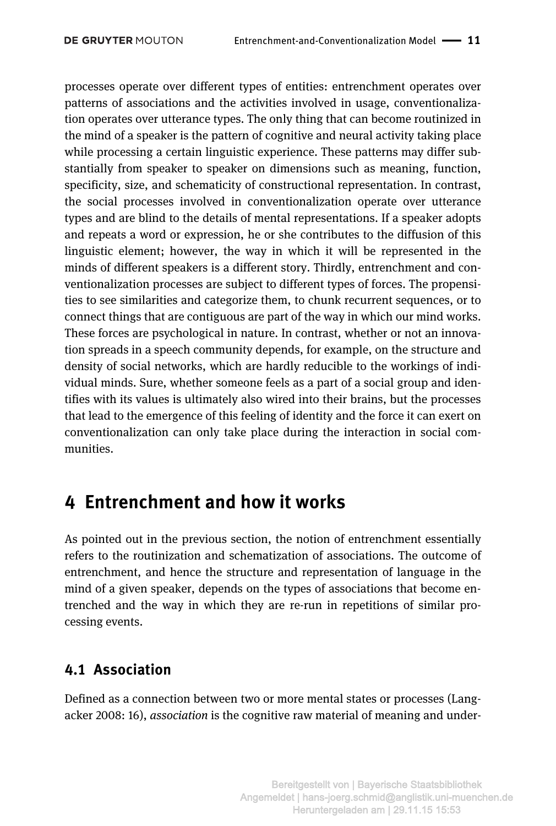processes operate over different types of entities: entrenchment operates over patterns of associations and the activities involved in usage, conventionalization operates over utterance types. The only thing that can become routinized in the mind of a speaker is the pattern of cognitive and neural activity taking place while processing a certain linguistic experience. These patterns may differ substantially from speaker to speaker on dimensions such as meaning, function, specificity, size, and schematicity of constructional representation. In contrast, the social processes involved in conventionalization operate over utterance types and are blind to the details of mental representations. If a speaker adopts and repeats a word or expression, he or she contributes to the diffusion of this linguistic element; however, the way in which it will be represented in the minds of different speakers is a different story. Thirdly, entrenchment and conventionalization processes are subject to different types of forces. The propensities to see similarities and categorize them, to chunk recurrent sequences, or to connect things that are contiguous are part of the way in which our mind works. These forces are psychological in nature. In contrast, whether or not an innovation spreads in a speech community depends, for example, on the structure and density of social networks, which are hardly reducible to the workings of individual minds. Sure, whether someone feels as a part of a social group and identifies with its values is ultimately also wired into their brains, but the processes that lead to the emergence of this feeling of identity and the force it can exert on conventionalization can only take place during the interaction in social communities.

### **4 Entrenchment and how it works**

As pointed out in the previous section, the notion of entrenchment essentially refers to the routinization and schematization of associations. The outcome of entrenchment, and hence the structure and representation of language in the mind of a given speaker, depends on the types of associations that become entrenched and the way in which they are re-run in repetitions of similar processing events.

### **4.1 Association**

Defined as a connection between two or more mental states or processes (Langacker 2008: 16), *association* is the cognitive raw material of meaning and under-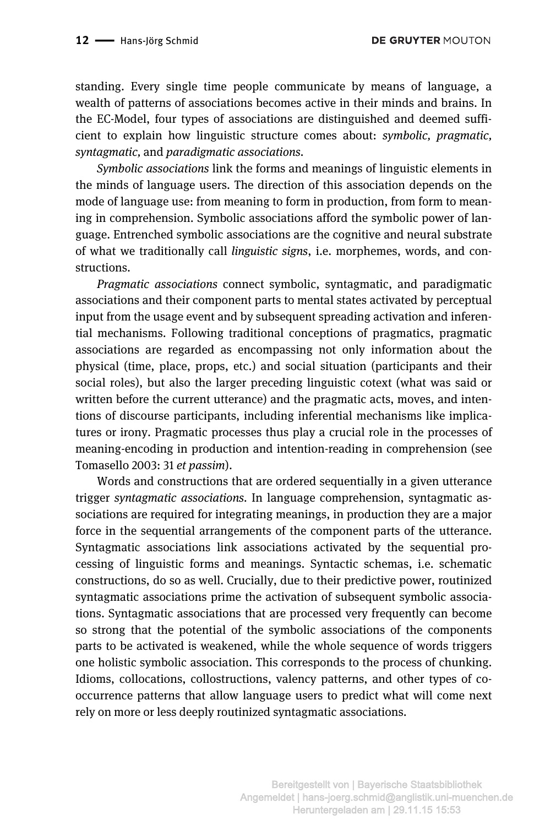**DE GRUYTER MOUTON** 

standing. Every single time people communicate by means of language, a wealth of patterns of associations becomes active in their minds and brains. In the EC-Model, four types of associations are distinguished and deemed sufficient to explain how linguistic structure comes about: *symbolic, pragmatic, syntagmatic,* and *paradigmatic associations.* 

*Symbolic associations* link the forms and meanings of linguistic elements in the minds of language users. The direction of this association depends on the mode of language use: from meaning to form in production, from form to meaning in comprehension. Symbolic associations afford the symbolic power of language. Entrenched symbolic associations are the cognitive and neural substrate of what we traditionally call *linguistic signs*, i.e. morphemes, words, and constructions.

*Pragmatic associations* connect symbolic, syntagmatic, and paradigmatic associations and their component parts to mental states activated by perceptual input from the usage event and by subsequent spreading activation and inferential mechanisms. Following traditional conceptions of pragmatics, pragmatic associations are regarded as encompassing not only information about the physical (time, place, props, etc.) and social situation (participants and their social roles), but also the larger preceding linguistic cotext (what was said or written before the current utterance) and the pragmatic acts, moves, and intentions of discourse participants, including inferential mechanisms like implicatures or irony. Pragmatic processes thus play a crucial role in the processes of meaning-encoding in production and intention-reading in comprehension (see Tomasello 2003: 31 *et passim*).

Words and constructions that are ordered sequentially in a given utterance trigger *syntagmatic associations.* In language comprehension, syntagmatic associations are required for integrating meanings, in production they are a major force in the sequential arrangements of the component parts of the utterance. Syntagmatic associations link associations activated by the sequential processing of linguistic forms and meanings. Syntactic schemas, i.e. schematic constructions, do so as well. Crucially, due to their predictive power, routinized syntagmatic associations prime the activation of subsequent symbolic associations. Syntagmatic associations that are processed very frequently can become so strong that the potential of the symbolic associations of the components parts to be activated is weakened, while the whole sequence of words triggers one holistic symbolic association. This corresponds to the process of chunking. Idioms, collocations, collostructions, valency patterns, and other types of cooccurrence patterns that allow language users to predict what will come next rely on more or less deeply routinized syntagmatic associations.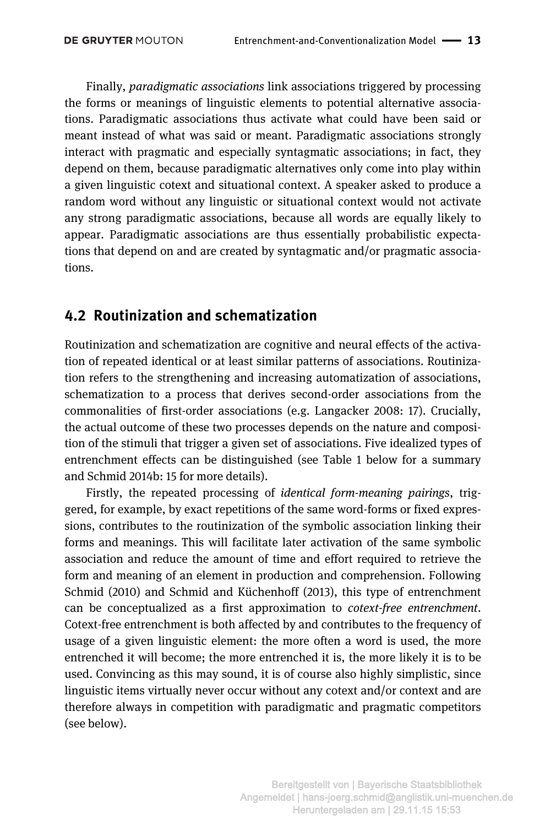Finally, *paradigmatic associations* link associations triggered by processing the forms or meanings of linguistic elements to potential alternative associations. Paradigmatic associations thus activate what could have been said or meant instead of what was said or meant. Paradigmatic associations strongly interact with pragmatic and especially syntagmatic associations; in fact, they depend on them, because paradigmatic alternatives only come into play within a given linguistic cotext and situational context. A speaker asked to produce a random word without any linguistic or situational context would not activate any strong paradigmatic associations, because all words are equally likely to appear. Paradigmatic associations are thus essentially probabilistic expectations that depend on and are created by syntagmatic and/or pragmatic associations.

#### **4.2 Routinization and schematization**

Routinization and schematization are cognitive and neural effects of the activation of repeated identical or at least similar patterns of associations. Routinization refers to the strengthening and increasing automatization of associations, schematization to a process that derives second-order associations from the commonalities of first-order associations (e.g. Langacker 2008: 17). Crucially, the actual outcome of these two processes depends on the nature and composition of the stimuli that trigger a given set of associations. Five idealized types of entrenchment effects can be distinguished (see Table 1 below for a summary and Schmid 2014b: 15 for more details).

Firstly, the repeated processing of *identical form-meaning pairings*, triggered, for example, by exact repetitions of the same word-forms or fixed expressions, contributes to the routinization of the symbolic association linking their forms and meanings. This will facilitate later activation of the same symbolic association and reduce the amount of time and effort required to retrieve the form and meaning of an element in production and comprehension. Following Schmid (2010) and Schmid and Küchenhoff (2013), this type of entrenchment can be conceptualized as a first approximation to *cotext-free entrenchment*. Cotext-free entrenchment is both affected by and contributes to the frequency of usage of a given linguistic element: the more often a word is used, the more entrenched it will become; the more entrenched it is, the more likely it is to be used. Convincing as this may sound, it is of course also highly simplistic, since linguistic items virtually never occur without any cotext and/or context and are therefore always in competition with paradigmatic and pragmatic competitors (see below).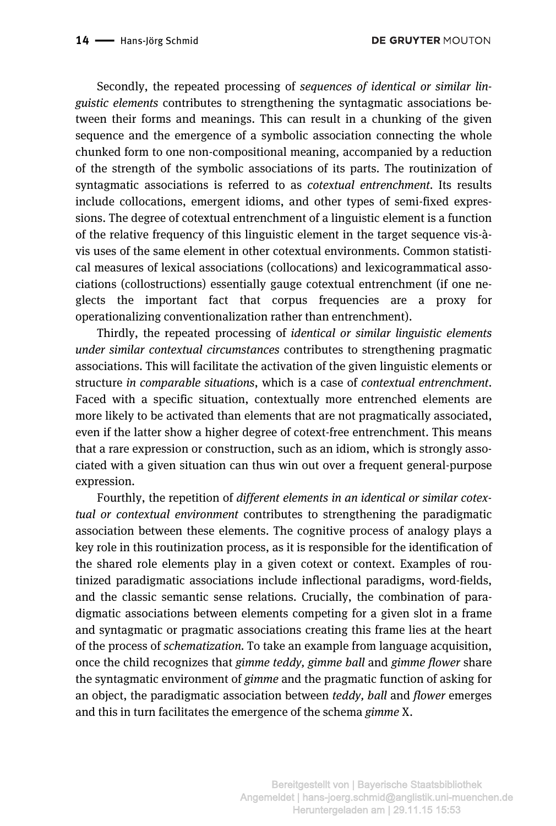Secondly, the repeated processing of *sequences of identical or similar linguistic elements* contributes to strengthening the syntagmatic associations between their forms and meanings. This can result in a chunking of the given sequence and the emergence of a symbolic association connecting the whole chunked form to one non-compositional meaning, accompanied by a reduction of the strength of the symbolic associations of its parts. The routinization of syntagmatic associations is referred to as *cotextual entrenchment.* Its results include collocations, emergent idioms, and other types of semi-fixed expressions. The degree of cotextual entrenchment of a linguistic element is a function of the relative frequency of this linguistic element in the target sequence vis-àvis uses of the same element in other cotextual environments. Common statistical measures of lexical associations (collocations) and lexicogrammatical associations (collostructions) essentially gauge cotextual entrenchment (if one neglects the important fact that corpus frequencies are a proxy for operationalizing conventionalization rather than entrenchment).

Thirdly, the repeated processing of *identical or similar linguistic elements under similar contextual circumstances* contributes to strengthening pragmatic associations. This will facilitate the activation of the given linguistic elements or structure *in comparable situations*, which is a case of *contextual entrenchment*. Faced with a specific situation, contextually more entrenched elements are more likely to be activated than elements that are not pragmatically associated, even if the latter show a higher degree of cotext-free entrenchment. This means that a rare expression or construction, such as an idiom, which is strongly associated with a given situation can thus win out over a frequent general-purpose expression.

Fourthly, the repetition of *different elements in an identical or similar cotextual or contextual environment* contributes to strengthening the paradigmatic association between these elements. The cognitive process of analogy plays a key role in this routinization process, as it is responsible for the identification of the shared role elements play in a given cotext or context. Examples of routinized paradigmatic associations include inflectional paradigms, word-fields, and the classic semantic sense relations. Crucially, the combination of paradigmatic associations between elements competing for a given slot in a frame and syntagmatic or pragmatic associations creating this frame lies at the heart of the process of *schematization.* To take an example from language acquisition, once the child recognizes that *gimme teddy, gimme ball* and *gimme flower* share the syntagmatic environment of *gimme* and the pragmatic function of asking for an object, the paradigmatic association between *teddy, ball* and *flower* emerges and this in turn facilitates the emergence of the schema *gimme* X.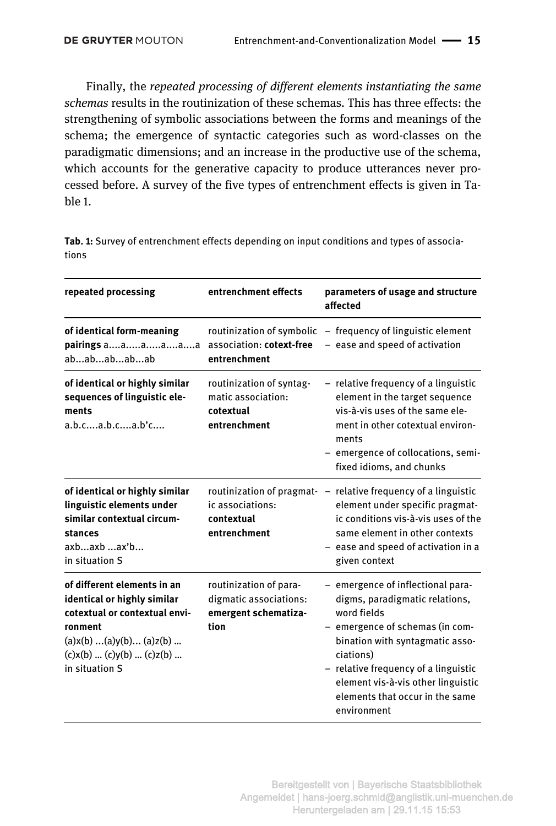Finally, the *repeated processing of different elements instantiating the same schemas* results in the routinization of these schemas. This has three effects: the strengthening of symbolic associations between the forms and meanings of the schema; the emergence of syntactic categories such as word-classes on the paradigmatic dimensions; and an increase in the productive use of the schema, which accounts for the generative capacity to produce utterances never processed before. A survey of the five types of entrenchment effects is given in Table 1.

**Tab. 1:** Survey of entrenchment effects depending on input conditions and types of associations

| repeated processing                                                                                                                                                            | entrenchment effects                                                             | parameters of usage and structure<br>affected                                                                                                                                                                                                                                                         |
|--------------------------------------------------------------------------------------------------------------------------------------------------------------------------------|----------------------------------------------------------------------------------|-------------------------------------------------------------------------------------------------------------------------------------------------------------------------------------------------------------------------------------------------------------------------------------------------------|
| of identical form-meaning<br>pairings aaaaaa<br>ababababab                                                                                                                     | routinization of symbolic<br>association: cotext-free<br>entrenchment            | - frequency of linguistic element<br>- ease and speed of activation                                                                                                                                                                                                                                   |
| of identical or highly similar<br>sequences of linguistic ele-<br>ments<br>a.b.ca.b.ca.b'c                                                                                     | routinization of syntag-<br>matic association:<br>cotextual<br>entrenchment      | - relative frequency of a linguistic<br>element in the target sequence<br>vis-à-vis uses of the same ele-<br>ment in other cotextual environ-<br>ments<br>- emergence of collocations, semi-<br>fixed idioms, and chunks                                                                              |
| of identical or highly similar<br>linguistic elements under<br>similar contextual circum-<br>stances<br>axbaxbax'b<br>in situation S                                           | ic associations:<br>contextual<br>entrenchment                                   | routinization of pragmat- - relative frequency of a linguistic<br>element under specific pragmat-<br>ic conditions vis-à-vis uses of the<br>same element in other contexts<br>- ease and speed of activation in a<br>given context                                                                    |
| of different elements in an<br>identical or highly similar<br>cotextual or contextual envi-<br>ronment<br>(a)x(b)(a)y(b)(a)z(b)<br>(c)x(b)  (c)y(b)  (c)z(b)<br>in situation S | routinization of para-<br>digmatic associations:<br>emergent schematiza-<br>tion | - emergence of inflectional para-<br>digms, paradigmatic relations,<br>word fields<br>- emergence of schemas (in com-<br>bination with syntagmatic asso-<br>ciations)<br>- relative frequency of a linguistic<br>element vis-à-vis other linguistic<br>elements that occur in the same<br>environment |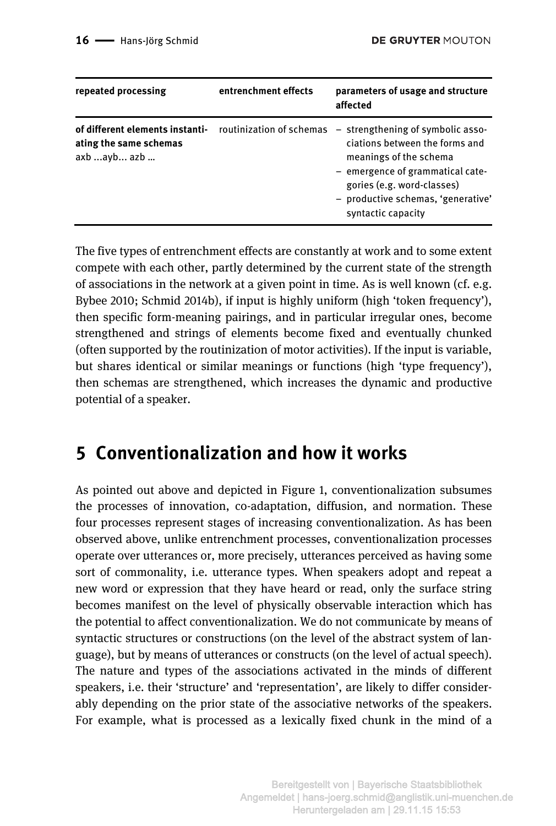| repeated processing                                                            | entrenchment effects | parameters of usage and structure<br>affected                                                                                                                                                                                                        |
|--------------------------------------------------------------------------------|----------------------|------------------------------------------------------------------------------------------------------------------------------------------------------------------------------------------------------------------------------------------------------|
| of different elements instanti-<br>ating the same schemas<br>$axb$ $ayb$ $azb$ |                      | routinization of schemas – strengthening of symbolic asso-<br>ciations between the forms and<br>meanings of the schema<br>- emergence of grammatical cate-<br>gories (e.g. word-classes)<br>- productive schemas, 'generative'<br>syntactic capacity |

The five types of entrenchment effects are constantly at work and to some extent compete with each other, partly determined by the current state of the strength of associations in the network at a given point in time. As is well known (cf. e.g. Bybee 2010; Schmid 2014b), if input is highly uniform (high 'token frequency'), then specific form-meaning pairings, and in particular irregular ones, become strengthened and strings of elements become fixed and eventually chunked (often supported by the routinization of motor activities). If the input is variable, but shares identical or similar meanings or functions (high 'type frequency'), then schemas are strengthened, which increases the dynamic and productive potential of a speaker.

## **5 Conventionalization and how it works**

As pointed out above and depicted in Figure 1, conventionalization subsumes the processes of innovation, co-adaptation, diffusion, and normation. These four processes represent stages of increasing conventionalization. As has been observed above, unlike entrenchment processes, conventionalization processes operate over utterances or, more precisely, utterances perceived as having some sort of commonality, i.e. utterance types. When speakers adopt and repeat a new word or expression that they have heard or read, only the surface string becomes manifest on the level of physically observable interaction which has the potential to affect conventionalization. We do not communicate by means of syntactic structures or constructions (on the level of the abstract system of language), but by means of utterances or constructs (on the level of actual speech). The nature and types of the associations activated in the minds of different speakers, i.e. their 'structure' and 'representation', are likely to differ considerably depending on the prior state of the associative networks of the speakers. For example, what is processed as a lexically fixed chunk in the mind of a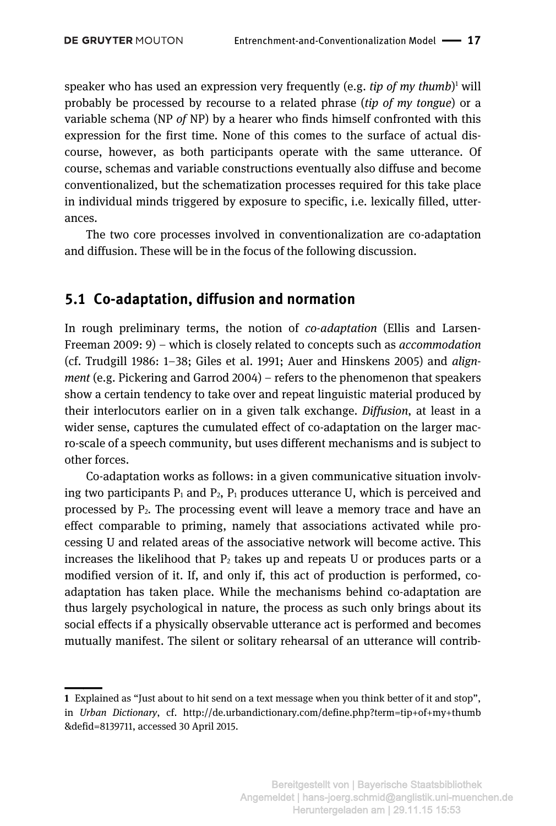speaker who has used an expression very frequently (e.g. *tip of my thumb*)<sup>1</sup> will probably be processed by recourse to a related phrase (*tip of my tongue*) or a variable schema (NP *of* NP) by a hearer who finds himself confronted with this expression for the first time. None of this comes to the surface of actual discourse, however, as both participants operate with the same utterance. Of course, schemas and variable constructions eventually also diffuse and become conventionalized, but the schematization processes required for this take place in individual minds triggered by exposure to specific, i.e. lexically filled, utterances.

The two core processes involved in conventionalization are co-adaptation and diffusion. These will be in the focus of the following discussion.

#### **5.1 Co-adaptation, diffusion and normation**

In rough preliminary terms, the notion of *co-adaptation* (Ellis and Larsen-Freeman 2009: 9) – which is closely related to concepts such as *accommodation* (cf. Trudgill 1986: 1–38; Giles et al. 1991; Auer and Hinskens 2005) and *alignment* (e.g. Pickering and Garrod 2004) – refers to the phenomenon that speakers show a certain tendency to take over and repeat linguistic material produced by their interlocutors earlier on in a given talk exchange. *Diffusion*, at least in a wider sense, captures the cumulated effect of co-adaptation on the larger macro-scale of a speech community, but uses different mechanisms and is subject to other forces.

Co-adaptation works as follows: in a given communicative situation involving two participants  $P_1$  and  $P_2$ ,  $P_1$  produces utterance U, which is perceived and processed by P2. The processing event will leave a memory trace and have an effect comparable to priming, namely that associations activated while processing U and related areas of the associative network will become active. This increases the likelihood that  $P_2$  takes up and repeats U or produces parts or a modified version of it. If, and only if, this act of production is performed, coadaptation has taken place. While the mechanisms behind co-adaptation are thus largely psychological in nature, the process as such only brings about its social effects if a physically observable utterance act is performed and becomes mutually manifest. The silent or solitary rehearsal of an utterance will contrib-

<sup>||</sup>  **1** Explained as "Just about to hit send on a text message when you think better of it and stop", in *Urban Dictionary*, cf. http://de.urbandictionary.com/define.php?term=tip+of+my+thumb &defid=8139711, accessed 30 April 2015.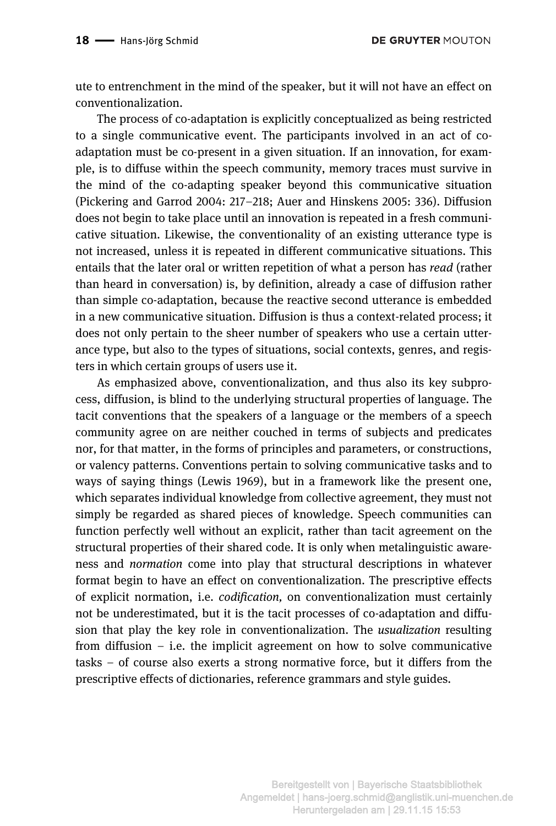**DE GRUYTER MOUTON** 

ute to entrenchment in the mind of the speaker, but it will not have an effect on conventionalization.

The process of co-adaptation is explicitly conceptualized as being restricted to a single communicative event. The participants involved in an act of coadaptation must be co-present in a given situation. If an innovation, for example, is to diffuse within the speech community, memory traces must survive in the mind of the co-adapting speaker beyond this communicative situation (Pickering and Garrod 2004: 217–218; Auer and Hinskens 2005: 336). Diffusion does not begin to take place until an innovation is repeated in a fresh communicative situation. Likewise, the conventionality of an existing utterance type is not increased, unless it is repeated in different communicative situations. This entails that the later oral or written repetition of what a person has *read* (rather than heard in conversation) is, by definition, already a case of diffusion rather than simple co-adaptation, because the reactive second utterance is embedded in a new communicative situation. Diffusion is thus a context-related process; it does not only pertain to the sheer number of speakers who use a certain utterance type, but also to the types of situations, social contexts, genres, and registers in which certain groups of users use it.

As emphasized above, conventionalization, and thus also its key subprocess, diffusion, is blind to the underlying structural properties of language. The tacit conventions that the speakers of a language or the members of a speech community agree on are neither couched in terms of subjects and predicates nor, for that matter, in the forms of principles and parameters, or constructions, or valency patterns. Conventions pertain to solving communicative tasks and to ways of saying things (Lewis 1969), but in a framework like the present one, which separates individual knowledge from collective agreement, they must not simply be regarded as shared pieces of knowledge. Speech communities can function perfectly well without an explicit, rather than tacit agreement on the structural properties of their shared code. It is only when metalinguistic awareness and *normation* come into play that structural descriptions in whatever format begin to have an effect on conventionalization. The prescriptive effects of explicit normation, i.e. *codification,* on conventionalization must certainly not be underestimated, but it is the tacit processes of co-adaptation and diffusion that play the key role in conventionalization. The *usualization* resulting from diffusion  $-$  i.e. the implicit agreement on how to solve communicative tasks – of course also exerts a strong normative force, but it differs from the prescriptive effects of dictionaries, reference grammars and style guides.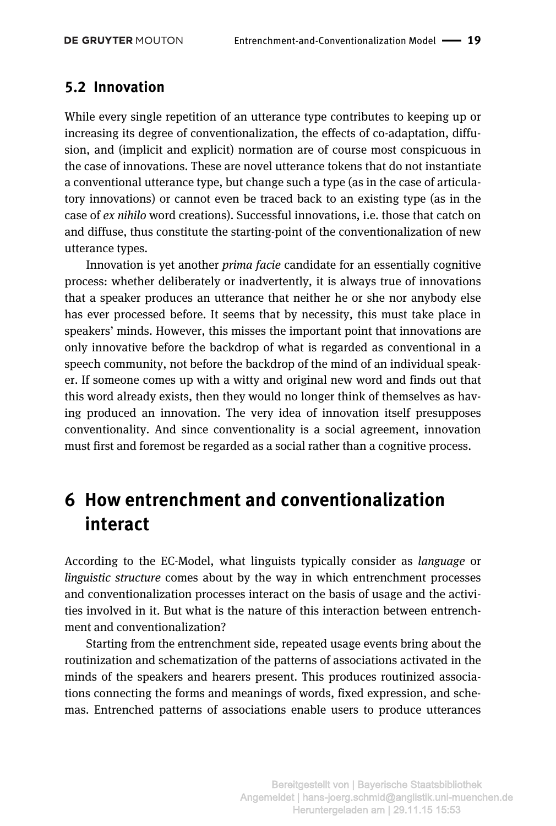#### **5.2 Innovation**

While every single repetition of an utterance type contributes to keeping up or increasing its degree of conventionalization, the effects of co-adaptation, diffusion, and (implicit and explicit) normation are of course most conspicuous in the case of innovations. These are novel utterance tokens that do not instantiate a conventional utterance type, but change such a type (as in the case of articulatory innovations) or cannot even be traced back to an existing type (as in the case of *ex nihilo* word creations). Successful innovations, i.e. those that catch on and diffuse, thus constitute the starting-point of the conventionalization of new utterance types.

Innovation is yet another *prima facie* candidate for an essentially cognitive process: whether deliberately or inadvertently, it is always true of innovations that a speaker produces an utterance that neither he or she nor anybody else has ever processed before. It seems that by necessity, this must take place in speakers' minds. However, this misses the important point that innovations are only innovative before the backdrop of what is regarded as conventional in a speech community, not before the backdrop of the mind of an individual speaker. If someone comes up with a witty and original new word and finds out that this word already exists, then they would no longer think of themselves as having produced an innovation. The very idea of innovation itself presupposes conventionality. And since conventionality is a social agreement, innovation must first and foremost be regarded as a social rather than a cognitive process.

## **6 How entrenchment and conventionalization interact**

According to the EC-Model, what linguists typically consider as *language* or *linguistic structure* comes about by the way in which entrenchment processes and conventionalization processes interact on the basis of usage and the activities involved in it. But what is the nature of this interaction between entrenchment and conventionalization?

Starting from the entrenchment side, repeated usage events bring about the routinization and schematization of the patterns of associations activated in the minds of the speakers and hearers present. This produces routinized associations connecting the forms and meanings of words, fixed expression, and schemas. Entrenched patterns of associations enable users to produce utterances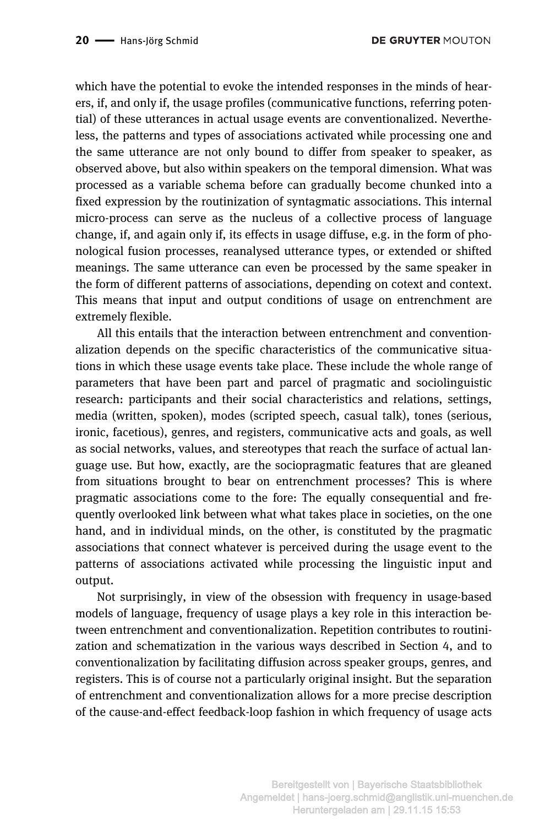which have the potential to evoke the intended responses in the minds of hearers, if, and only if, the usage profiles (communicative functions, referring potential) of these utterances in actual usage events are conventionalized. Nevertheless, the patterns and types of associations activated while processing one and the same utterance are not only bound to differ from speaker to speaker, as observed above, but also within speakers on the temporal dimension. What was processed as a variable schema before can gradually become chunked into a fixed expression by the routinization of syntagmatic associations. This internal micro-process can serve as the nucleus of a collective process of language change, if, and again only if, its effects in usage diffuse, e.g. in the form of phonological fusion processes, reanalysed utterance types, or extended or shifted meanings. The same utterance can even be processed by the same speaker in the form of different patterns of associations, depending on cotext and context. This means that input and output conditions of usage on entrenchment are extremely flexible.

All this entails that the interaction between entrenchment and conventionalization depends on the specific characteristics of the communicative situations in which these usage events take place. These include the whole range of parameters that have been part and parcel of pragmatic and sociolinguistic research: participants and their social characteristics and relations, settings, media (written, spoken), modes (scripted speech, casual talk), tones (serious, ironic, facetious), genres, and registers, communicative acts and goals, as well as social networks, values, and stereotypes that reach the surface of actual language use. But how, exactly, are the sociopragmatic features that are gleaned from situations brought to bear on entrenchment processes? This is where pragmatic associations come to the fore: The equally consequential and frequently overlooked link between what what takes place in societies, on the one hand, and in individual minds, on the other, is constituted by the pragmatic associations that connect whatever is perceived during the usage event to the patterns of associations activated while processing the linguistic input and output.

Not surprisingly, in view of the obsession with frequency in usage-based models of language, frequency of usage plays a key role in this interaction between entrenchment and conventionalization. Repetition contributes to routinization and schematization in the various ways described in Section 4, and to conventionalization by facilitating diffusion across speaker groups, genres, and registers. This is of course not a particularly original insight. But the separation of entrenchment and conventionalization allows for a more precise description of the cause-and-effect feedback-loop fashion in which frequency of usage acts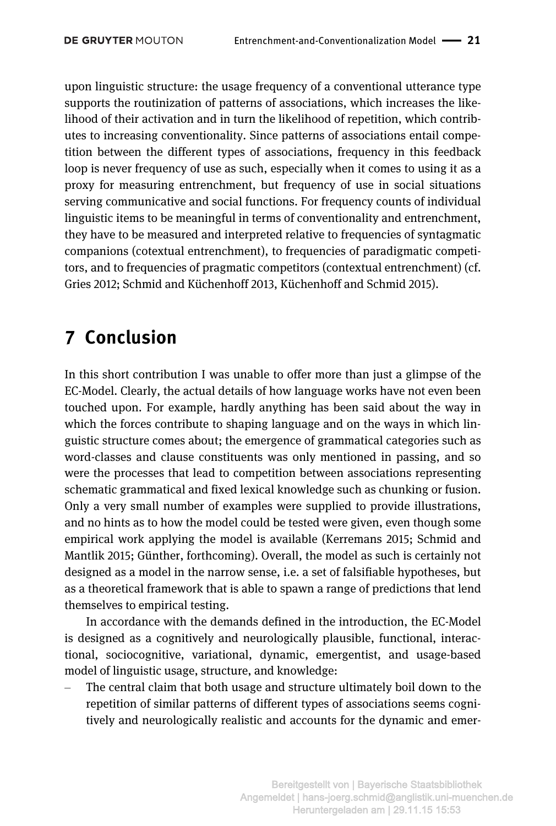upon linguistic structure: the usage frequency of a conventional utterance type supports the routinization of patterns of associations, which increases the likelihood of their activation and in turn the likelihood of repetition, which contributes to increasing conventionality. Since patterns of associations entail competition between the different types of associations, frequency in this feedback loop is never frequency of use as such, especially when it comes to using it as a proxy for measuring entrenchment, but frequency of use in social situations serving communicative and social functions. For frequency counts of individual linguistic items to be meaningful in terms of conventionality and entrenchment, they have to be measured and interpreted relative to frequencies of syntagmatic companions (cotextual entrenchment), to frequencies of paradigmatic competitors, and to frequencies of pragmatic competitors (contextual entrenchment) (cf. Gries 2012; Schmid and Küchenhoff 2013, Küchenhoff and Schmid 2015).

## **7 Conclusion**

In this short contribution I was unable to offer more than just a glimpse of the EC-Model. Clearly, the actual details of how language works have not even been touched upon. For example, hardly anything has been said about the way in which the forces contribute to shaping language and on the ways in which linguistic structure comes about; the emergence of grammatical categories such as word-classes and clause constituents was only mentioned in passing, and so were the processes that lead to competition between associations representing schematic grammatical and fixed lexical knowledge such as chunking or fusion. Only a very small number of examples were supplied to provide illustrations, and no hints as to how the model could be tested were given, even though some empirical work applying the model is available (Kerremans 2015; Schmid and Mantlik 2015; Günther, forthcoming). Overall, the model as such is certainly not designed as a model in the narrow sense, i.e. a set of falsifiable hypotheses, but as a theoretical framework that is able to spawn a range of predictions that lend themselves to empirical testing.

In accordance with the demands defined in the introduction, the EC-Model is designed as a cognitively and neurologically plausible, functional, interactional, sociocognitive, variational, dynamic, emergentist, and usage-based model of linguistic usage, structure, and knowledge:

The central claim that both usage and structure ultimately boil down to the repetition of similar patterns of different types of associations seems cognitively and neurologically realistic and accounts for the dynamic and emer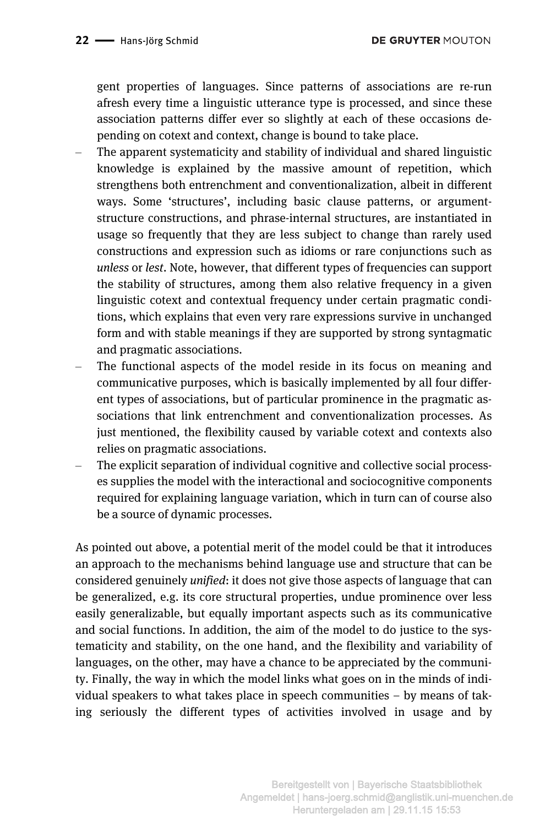gent properties of languages. Since patterns of associations are re-run afresh every time a linguistic utterance type is processed, and since these association patterns differ ever so slightly at each of these occasions depending on cotext and context, change is bound to take place.

- The apparent systematicity and stability of individual and shared linguistic knowledge is explained by the massive amount of repetition, which strengthens both entrenchment and conventionalization, albeit in different ways. Some 'structures', including basic clause patterns, or argumentstructure constructions, and phrase-internal structures, are instantiated in usage so frequently that they are less subject to change than rarely used constructions and expression such as idioms or rare conjunctions such as *unless* or *lest*. Note, however, that different types of frequencies can support the stability of structures, among them also relative frequency in a given linguistic cotext and contextual frequency under certain pragmatic conditions, which explains that even very rare expressions survive in unchanged form and with stable meanings if they are supported by strong syntagmatic and pragmatic associations.
- The functional aspects of the model reside in its focus on meaning and communicative purposes, which is basically implemented by all four different types of associations, but of particular prominence in the pragmatic associations that link entrenchment and conventionalization processes. As just mentioned, the flexibility caused by variable cotext and contexts also relies on pragmatic associations.
- The explicit separation of individual cognitive and collective social processes supplies the model with the interactional and sociocognitive components required for explaining language variation, which in turn can of course also be a source of dynamic processes.

As pointed out above, a potential merit of the model could be that it introduces an approach to the mechanisms behind language use and structure that can be considered genuinely *unified*: it does not give those aspects of language that can be generalized, e.g. its core structural properties, undue prominence over less easily generalizable, but equally important aspects such as its communicative and social functions. In addition, the aim of the model to do justice to the systematicity and stability, on the one hand, and the flexibility and variability of languages, on the other, may have a chance to be appreciated by the community. Finally, the way in which the model links what goes on in the minds of individual speakers to what takes place in speech communities – by means of taking seriously the different types of activities involved in usage and by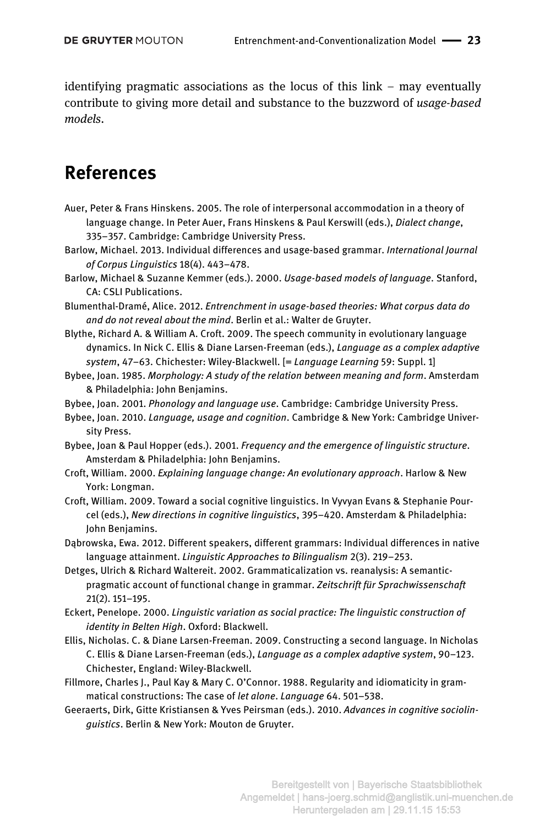identifying pragmatic associations as the locus of this link – may eventually contribute to giving more detail and substance to the buzzword of *usage-based models*.

### **References**

- Auer, Peter & Frans Hinskens. 2005. The role of interpersonal accommodation in a theory of language change. In Peter Auer, Frans Hinskens & Paul Kerswill (eds.), *Dialect change*, 335–357. Cambridge: Cambridge University Press.
- Barlow, Michael. 2013. Individual differences and usage-based grammar. *International Journal of Corpus Linguistics* 18(4). 443–478.
- Barlow, Michael & Suzanne Kemmer (eds.). 2000. *Usage-based models of language*. Stanford, CA: CSLI Publications.
- Blumenthal-Dramé, Alice. 2012. *Entrenchment in usage-based theories: What corpus data do and do not reveal about the mind*. Berlin et al.: Walter de Gruyter.
- Blythe, Richard A. & William A. Croft. 2009. The speech community in evolutionary language dynamics. In Nick C. Ellis & Diane Larsen-Freeman (eds.), *Language as a complex adaptive system*, 47–63. Chichester: Wiley-Blackwell. [= *Language Learning* 59: Suppl. 1]
- Bybee, Joan. 1985. *Morphology: A study of the relation between meaning and form*. Amsterdam & Philadelphia: John Benjamins.
- Bybee, Joan. 2001. *Phonology and language use*. Cambridge: Cambridge University Press.
- Bybee, Joan. 2010. *Language, usage and cognition*. Cambridge & New York: Cambridge University Press.
- Bybee, Joan & Paul Hopper (eds.). 2001. *Frequency and the emergence of linguistic structure*. Amsterdam & Philadelphia: John Benjamins.
- Croft, William. 2000. *Explaining language change: An evolutionary approach*. Harlow & New York: Longman.
- Croft, William. 2009. Toward a social cognitive linguistics. In Vyvyan Evans & Stephanie Pourcel (eds.), *New directions in cognitive linguistics*, 395–420. Amsterdam & Philadelphia: John Benjamins.
- Dąbrowska, Ewa. 2012. Different speakers, different grammars: Individual differences in native language attainment. *Linguistic Approaches to Bilingualism* 2(3). 219–253.
- Detges, Ulrich & Richard Waltereit. 2002. Grammaticalization vs. reanalysis: A semanticpragmatic account of functional change in grammar. *Zeitschrift für Sprachwissenschaft*  21(2). 151–195.
- Eckert, Penelope. 2000. *Linguistic variation as social practice: The linguistic construction of identity in Belten High*. Oxford: Blackwell.
- Ellis, Nicholas. C. & Diane Larsen-Freeman. 2009. Constructing a second language. In Nicholas C. Ellis & Diane Larsen-Freeman (eds.), *Language as a complex adaptive system*, 90–123. Chichester, England: Wiley-Blackwell.
- Fillmore, Charles J., Paul Kay & Mary C. O'Connor. 1988. Regularity and idiomaticity in grammatical constructions: The case of *let alone*. *Language* 64. 501–538.
- Geeraerts, Dirk, Gitte Kristiansen & Yves Peirsman (eds.). 2010. *Advances in cognitive sociolinguistics*. Berlin & New York: Mouton de Gruyter.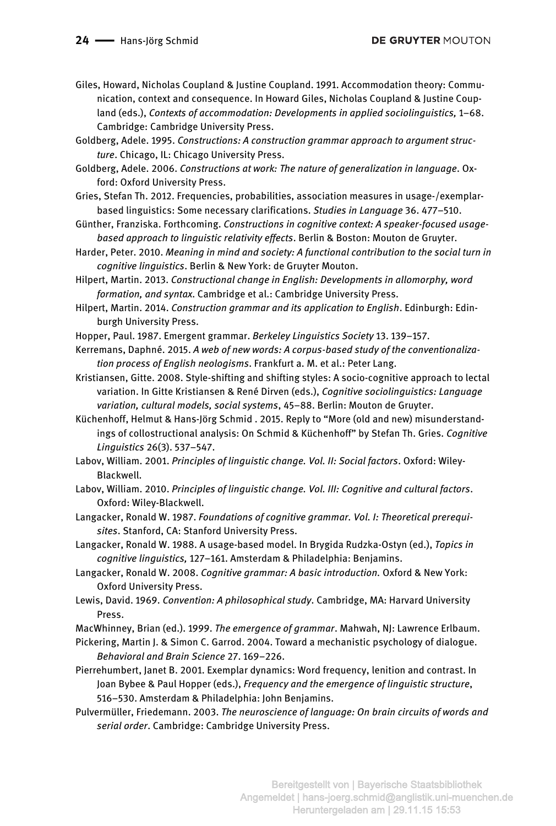Giles, Howard, Nicholas Coupland & Justine Coupland. 1991. Accommodation theory: Communication, context and consequence. In Howard Giles, Nicholas Coupland & Justine Coupland (eds.), *Contexts of accommodation: Developments in applied sociolinguistics,* 1–68. Cambridge: Cambridge University Press.

Goldberg, Adele. 1995. *Constructions: A construction grammar approach to argument structure*. Chicago, IL: Chicago University Press.

Goldberg, Adele. 2006. *Constructions at work: The nature of generalization in language*. Oxford: Oxford University Press.

- Gries, Stefan Th. 2012. Frequencies, probabilities, association measures in usage-/exemplarbased linguistics: Some necessary clarifications. *Studies in Language* 36. 477–510.
- Günther, Franziska. Forthcoming. *Constructions in cognitive context: A speaker-focused usagebased approach to linguistic relativity effects*. Berlin & Boston: Mouton de Gruyter.
- Harder, Peter. 2010. *Meaning in mind and society: A functional contribution to the social turn in cognitive linguistics*. Berlin & New York: de Gruyter Mouton.

Hilpert, Martin. 2013. *Constructional change in English: Developments in allomorphy, word formation, and syntax*. Cambridge et al.: Cambridge University Press.

Hilpert, Martin. 2014. *Construction grammar and its application to English*. Edinburgh: Edinburgh University Press.

Hopper, Paul. 1987. Emergent grammar. *Berkeley Linguistics Society* 13. 139–157.

Kerremans, Daphné. 2015. *A web of new words: A corpus-based study of the conventionalization process of English neologisms*. Frankfurt a. M. et al.: Peter Lang.

Kristiansen, Gitte. 2008. Style-shifting and shifting styles: A socio-cognitive approach to lectal variation. In Gitte Kristiansen & René Dirven (eds.), *Cognitive sociolinguistics: Language variation, cultural models, social systems*, 45–88. Berlin: Mouton de Gruyter.

Küchenhoff, Helmut & Hans-Jörg Schmid . 2015. Reply to "More (old and new) misunderstandings of collostructional analysis: On Schmid & Küchenhoff" by Stefan Th. Gries. *Cognitive Linguistics* 26(3). 537–547.

Labov, William. 2001. *Principles of linguistic change. Vol. II: Social factors*. Oxford: Wiley-Blackwell.

Labov, William. 2010. *Principles of linguistic change. Vol. III: Cognitive and cultural factors*. Oxford: Wiley-Blackwell.

Langacker, Ronald W. 1987. *Foundations of cognitive grammar. Vol. I: Theoretical prerequisites*. Stanford, CA: Stanford University Press.

Langacker, Ronald W. 1988. A usage-based model. In Brygida Rudzka-Ostyn (ed.), *Topics in cognitive linguistics,* 127–161. Amsterdam & Philadelphia: Benjamins.

Langacker, Ronald W. 2008. *Cognitive grammar: A basic introduction.* Oxford & New York: Oxford University Press.

Lewis, David. 1969. *Convention: A philosophical study*. Cambridge, MA: Harvard University Press.

MacWhinney, Brian (ed.). 1999. *The emergence of grammar*. Mahwah, NJ: Lawrence Erlbaum.

Pickering, Martin J. & Simon C. Garrod. 2004. Toward a mechanistic psychology of dialogue. *Behavioral and Brain Science* 27. 169–226.

Pierrehumbert, Janet B. 2001. Exemplar dynamics: Word frequency, lenition and contrast. In Joan Bybee & Paul Hopper (eds.), *Frequency and the emergence of linguistic structure*, 516–530. Amsterdam & Philadelphia: John Benjamins.

Pulvermüller, Friedemann. 2003. *The neuroscience of language: On brain circuits of words and serial order*. Cambridge: Cambridge University Press.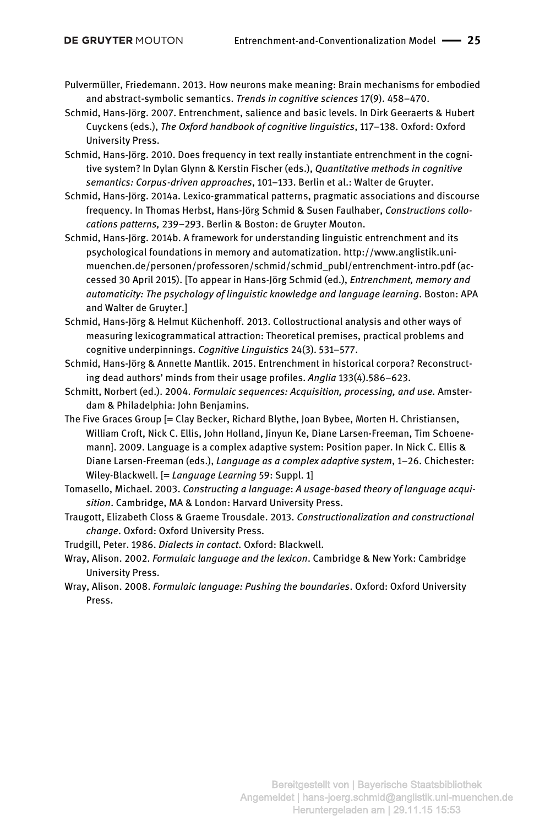- Pulvermüller, Friedemann. 2013. How neurons make meaning: Brain mechanisms for embodied and abstract-symbolic semantics. *Trends in cognitive sciences* 17(9). 458–470.
- Schmid, Hans-Jörg. 2007. Entrenchment, salience and basic levels. In Dirk Geeraerts & Hubert Cuyckens (eds.), *The Oxford handbook of cognitive linguistics*, 117–138. Oxford: Oxford University Press.
- Schmid, Hans-Jörg. 2010. Does frequency in text really instantiate entrenchment in the cognitive system? In Dylan Glynn & Kerstin Fischer (eds.), *Quantitative methods in cognitive semantics: Corpus-driven approaches*, 101–133. Berlin et al.: Walter de Gruyter.
- Schmid, Hans-Jörg. 2014a. Lexico-grammatical patterns, pragmatic associations and discourse frequency. In Thomas Herbst, Hans-Jörg Schmid & Susen Faulhaber, *Constructions collocations patterns,* 239–293. Berlin & Boston: de Gruyter Mouton.
- Schmid, Hans-Jörg. 2014b. A framework for understanding linguistic entrenchment and its psychological foundations in memory and automatization. http://www.anglistik.unimuenchen.de/personen/professoren/schmid/schmid\_publ/entrenchment-intro.pdf (accessed 30 April 2015). [To appear in Hans-Jörg Schmid (ed.), *Entrenchment, memory and automaticity: The psychology of linguistic knowledge and language learning*. Boston: APA and Walter de Gruyter.]
- Schmid, Hans-Jörg & Helmut Küchenhoff. 2013. Collostructional analysis and other ways of measuring lexicogrammatical attraction: Theoretical premises, practical problems and cognitive underpinnings. *Cognitive Linguistics* 24(3). 531–577.
- Schmid, Hans-Jörg & Annette Mantlik. 2015. Entrenchment in historical corpora? Reconstructing dead authors' minds from their usage profiles. *Anglia* 133(4).586–623.
- Schmitt, Norbert (ed.). 2004. *Formulaic sequences: Acquisition, processing, and use.* Amsterdam & Philadelphia: John Benjamins.
- The Five Graces Group [= Clay Becker, Richard Blythe, Joan Bybee, Morten H. Christiansen, William Croft, Nick C. Ellis, John Holland, Jinyun Ke, Diane Larsen-Freeman, Tim Schoenemann]. 2009. Language is a complex adaptive system: Position paper. In Nick C. Ellis & Diane Larsen-Freeman (eds.), *Language as a complex adaptive system*, 1–26. Chichester: Wiley-Blackwell. [= *Language Learning* 59: Suppl. 1]
- Tomasello, Michael. 2003. *Constructing a language*: *A usage-based theory of language acquisition*. Cambridge, MA & London: Harvard University Press.
- Traugott, Elizabeth Closs & Graeme Trousdale. 2013. *Constructionalization and constructional change*. Oxford: Oxford University Press.
- Trudgill, Peter. 1986. *Dialects in contact*. Oxford: Blackwell.
- Wray, Alison. 2002. *Formulaic language and the lexicon*. Cambridge & New York: Cambridge University Press.
- Wray, Alison. 2008. *Formulaic language: Pushing the boundaries*. Oxford: Oxford University Press.